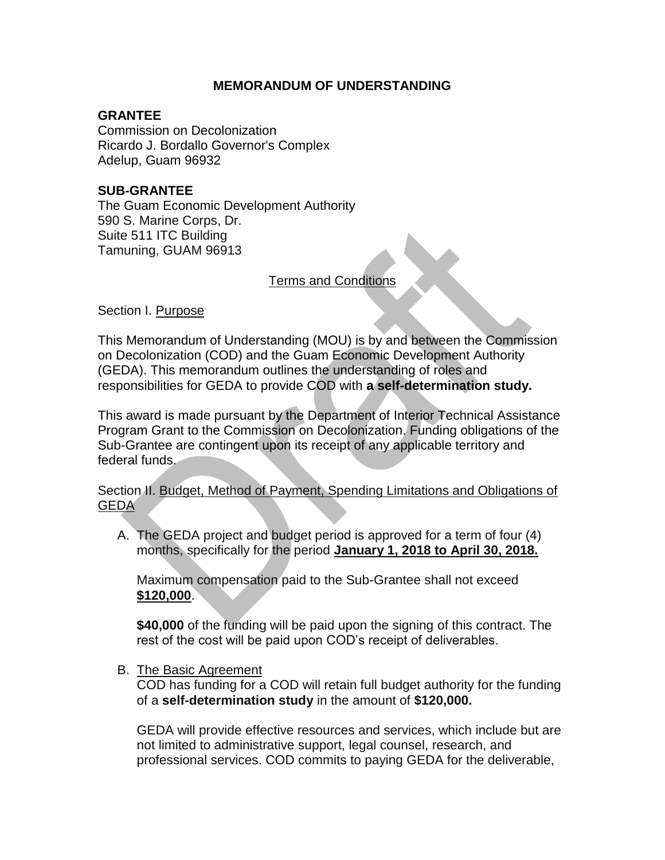## **MEMORANDUM OF UNDERSTANDING**

## **GRANTEE**

Commission on Decolonization Ricardo J. Bordallo Governor's Complex Adelup, Guam 96932

## **SUB-GRANTEE**

The Guam Economic Development Authority 590 S. Marine Corps, Dr. Suite 511 ITC Building Tamuning, GUAM 96913

Terms and Conditions

Section I. Purpose

This Memorandum of Understanding (MOU) is by and between the Commission on Decolonization (COD) and the Guam Economic Development Authority (GEDA). This memorandum outlines the understanding of roles and responsibilities for GEDA to provide COD with **a self-determination study.**

This award is made pursuant by the Department of Interior Technical Assistance Program Grant to the Commission on Decolonization. Funding obligations of the Sub-Grantee are contingent upon its receipt of any applicable territory and federal funds.

Section II. Budget, Method of Payment, Spending Limitations and Obligations of GEDA

A. The GEDA project and budget period is approved for a term of four (4) months, specifically for the period **January 1, 2018 to April 30, 2018.**

Maximum compensation paid to the Sub-Grantee shall not exceed **\$120,000**.

**\$40,000** of the funding will be paid upon the signing of this contract. The rest of the cost will be paid upon COD's receipt of deliverables.

B. The Basic Agreement

COD has funding for a COD will retain full budget authority for the funding of a **self-determination study** in the amount of **\$120,000.**

GEDA will provide effective resources and services, which include but are not limited to administrative support, legal counsel, research, and professional services. COD commits to paying GEDA for the deliverable,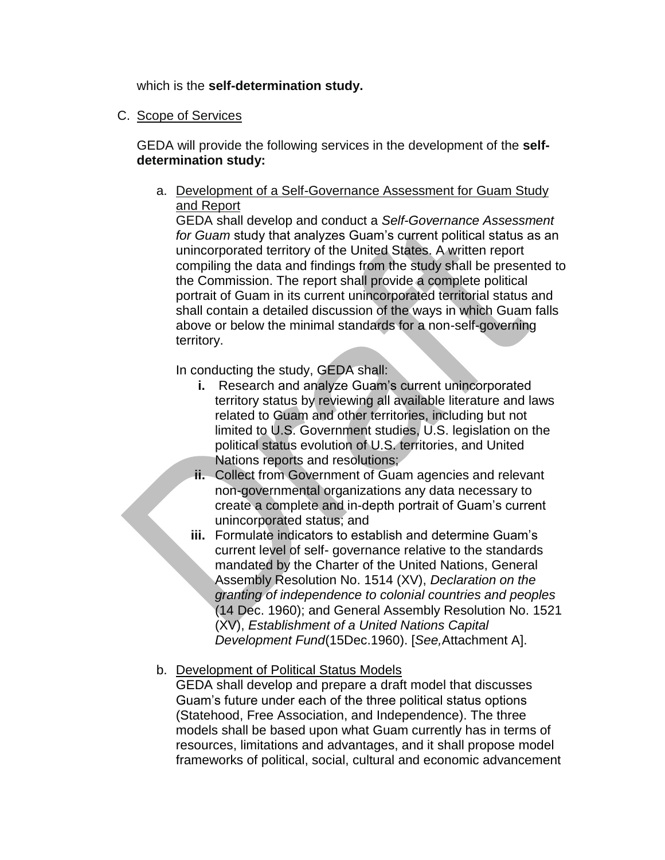which is the **self-determination study.**

C. Scope of Services

GEDA will provide the following services in the development of the **selfdetermination study:** 

a. Development of a Self-Governance Assessment for Guam Study and Report

GEDA shall develop and conduct a *Self-Governance Assessment for Guam* study that analyzes Guam's current political status as an unincorporated territory of the United States. A written report compiling the data and findings from the study shall be presented to the Commission. The report shall provide a complete political portrait of Guam in its current unincorporated territorial status and shall contain a detailed discussion of the ways in which Guam falls above or below the minimal standards for a non-self-governing territory.

In conducting the study, GEDA shall:

- **i.** Research and analyze Guam's current unincorporated territory status by reviewing all available literature and laws related to Guam and other territories, including but not limited to U.S. Government studies, U.S. legislation on the political status evolution of U.S. territories, and United Nations reports and resolutions:
- **ii.** Collect from Government of Guam agencies and relevant non-governmental organizations any data necessary to create a complete and in-depth portrait of Guam's current unincorporated status; and
- **iii.** Formulate indicators to establish and determine Guam's current level of self- governance relative to the standards mandated by the Charter of the United Nations, General Assembly Resolution No. 1514 (XV), *Declaration on the granting of independence to colonial countries and peoples*  (14 Dec. 1960); and General Assembly Resolution No. 1521 (XV), *Establishment of a United Nations Capital Development Fund*(15Dec.1960). [*See,*Attachment A].
- b. Development of Political Status Models

GEDA shall develop and prepare a draft model that discusses Guam's future under each of the three political status options (Statehood, Free Association, and Independence). The three models shall be based upon what Guam currently has in terms of resources, limitations and advantages, and it shall propose model frameworks of political, social, cultural and economic advancement